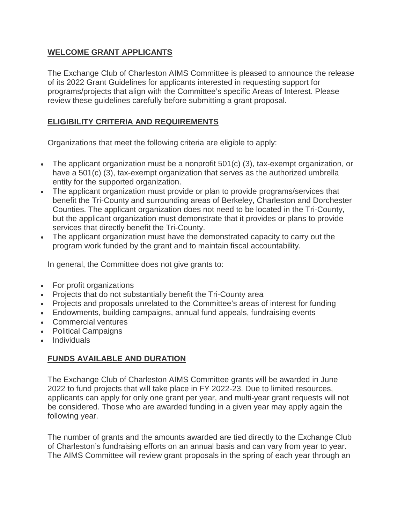### **WELCOME GRANT APPLICANTS**

The Exchange Club of Charleston AIMS Committee is pleased to announce the release of its 2022 Grant Guidelines for applicants interested in requesting support for programs/projects that align with the Committee's specific Areas of Interest. Please review these guidelines carefully before submitting a grant proposal.

# **ELIGIBILITY CRITERIA AND REQUIREMENTS**

Organizations that meet the following criteria are eligible to apply:

- The applicant organization must be a nonprofit 501(c) (3), tax-exempt organization, or have a 501(c) (3), tax-exempt organization that serves as the authorized umbrella entity for the supported organization.
- The applicant organization must provide or plan to provide programs/services that benefit the Tri-County and surrounding areas of Berkeley, Charleston and Dorchester Counties. The applicant organization does not need to be located in the Tri-County, but the applicant organization must demonstrate that it provides or plans to provide services that directly benefit the Tri-County.
- The applicant organization must have the demonstrated capacity to carry out the program work funded by the grant and to maintain fiscal accountability.

In general, the Committee does not give grants to:

- For profit organizations
- Projects that do not substantially benefit the Tri-County area
- Projects and proposals unrelated to the Committee's areas of interest for funding
- Endowments, building campaigns, annual fund appeals, fundraising events
- Commercial ventures
- Political Campaigns
- Individuals

## **FUNDS AVAILABLE AND DURATION**

The Exchange Club of Charleston AIMS Committee grants will be awarded in June 2022 to fund projects that will take place in FY 2022-23. Due to limited resources, applicants can apply for only one grant per year, and multi-year grant requests will not be considered. Those who are awarded funding in a given year may apply again the following year.

The number of grants and the amounts awarded are tied directly to the Exchange Club of Charleston's fundraising efforts on an annual basis and can vary from year to year. The AIMS Committee will review grant proposals in the spring of each year through an